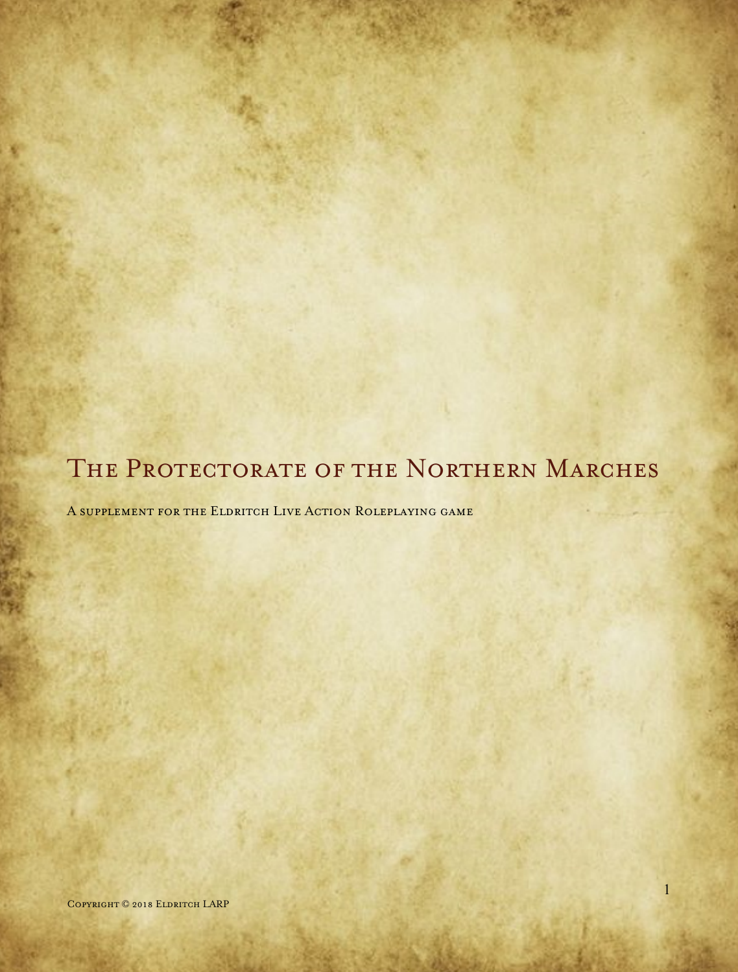# THE PROTECTORATE OF THE NORTHERN MARCHES

A supplement for the Eldritch Live Action Roleplaying game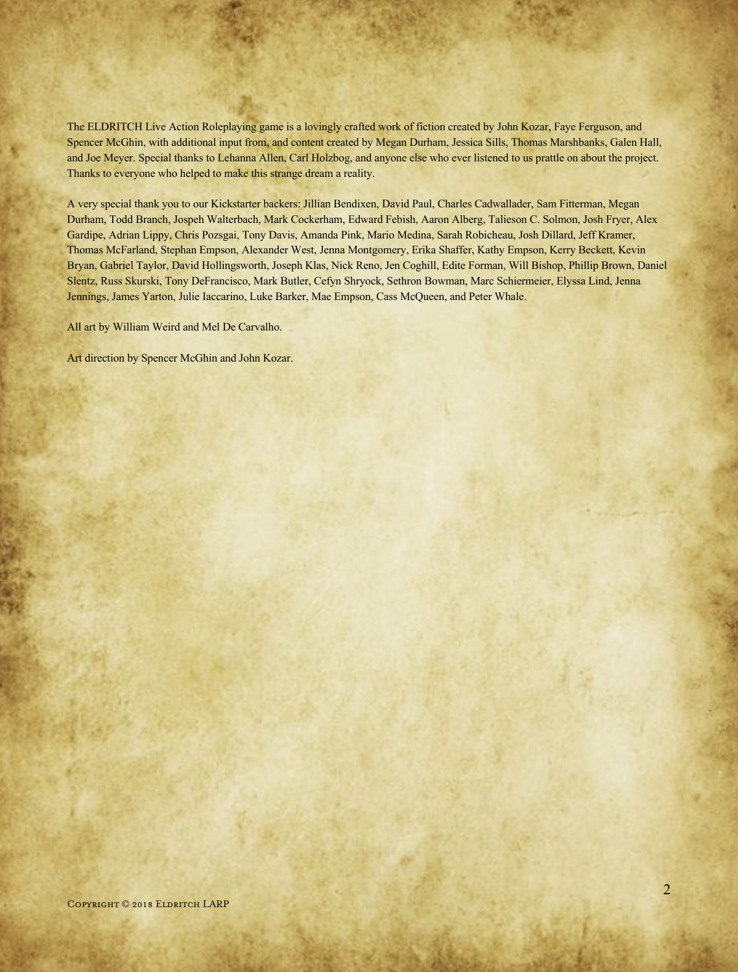The ELDRITCH Live Action Roleplaying game is a lovingly crafted work of fiction created by John Kozar, Faye Ferguson, and Spencer McGhin, with additional input from, and content created by Megan Durham, Jessica Sills, Thomas Marshbanks, Galen Hall, and Joe Meyer. Special thanks to Lehanna Allen, Carl Holzbog, and anyone else who ever listened to us prattle on about the project. Thanks to everyone who helped to make this strange dream a reality.

A very special thank you to our Kickstarter backers: Jillian Bendixen, David Paul, Charles Cadwallader, Sam Fitterman, Megan Durham, Todd Branch, Jospeh Walterbach, Mark Cockerham, Edward Febish, Aaron Alberg, Talieson C. Solmon, Josh Fryer, Alex Gardipe, Adrian Lippy, Chris Pozsgai, Tony Davis, Amanda Pink, Mario Medina, Sarah Robicheau, Josh Dillard, Jeff Kramer, Thomas McFarland, Stephan Empson, Alexander West, Jenna Montgomery, Erika Shaffer, Kathy Empson, Kerry Beckett, Kevin Bryan, Gabriel Taylor, David Hollingsworth, Joseph Klas, Nick Reno, Jen Coghill, Edite Forman, Will Bishop, Phillip Brown, Daniel Slentz, Russ Skurski, Tony DeFrancisco, Mark Butler, Cefyn Shryock, Sethron Bowman, Marc Schiermeier, Elyssa Lind, Jenna Jennings, James Yarton, Julie Iaccarino, Luke Barker, Mae Empson, Cass McQueen, and Peter Whale.

All art by William Weird and Mel De Carvalho.

Art direction by Spencer McGhin and John Kozar.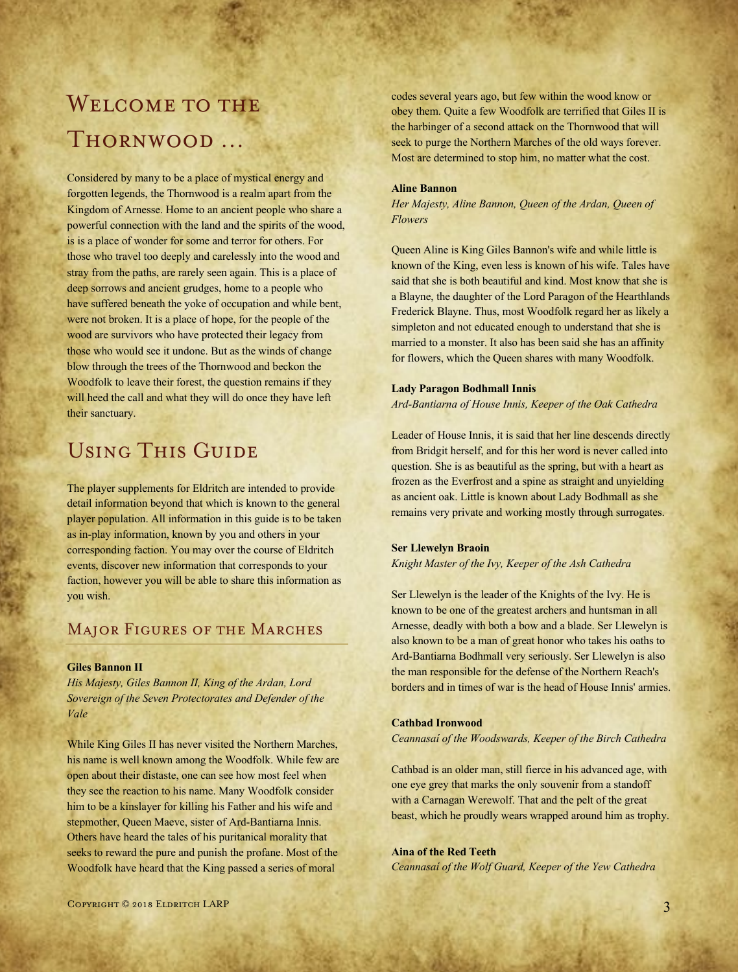# WELCOME TO THE Thornwood …

Considered by many to be a place of mystical energy and forgotten legends, the Thornwood is a realm apart from the Kingdom of Arnesse. Home to an ancient people who share a powerful connection with the land and the spirits of the wood, is is a place of wonder for some and terror for others. For those who travel too deeply and carelessly into the wood and stray from the paths, are rarely seen again. This is a place of deep sorrows and ancient grudges, home to a people who have suffered beneath the yoke of occupation and while bent, were not broken. It is a place of hope, for the people of the wood are survivors who have protected their legacy from those who would see it undone. But as the winds of change blow through the trees of the Thornwood and beckon the Woodfolk to leave their forest, the question remains if they will heed the call and what they will do once they have left their sanctuary.

# Using This Guide

The player supplements for Eldritch are intended to provide detail information beyond that which is known to the general player population. All information in this guide is to be taken as in-play information, known by you and others in your corresponding faction. You may over the course of Eldritch events, discover new information that corresponds to your faction, however you will be able to share this information as you wish.

# Major Figures of the Marches

### **Giles Bannon II**

*His Majesty, Giles Bannon II, King of the Ardan, Lord Sovereign of the Seven Protectorates and Defender of the Vale*

While King Giles II has never visited the Northern Marches, his name is well known among the Woodfolk. While few are open about their distaste, one can see how most feel when they see the reaction to his name. Many Woodfolk consider him to be a kinslayer for killing his Father and his wife and stepmother, Queen Maeve, sister of Ard-Bantiarna Innis. Others have heard the tales of his puritanical morality that seeks to reward the pure and punish the profane. Most of the Woodfolk have heard that the King passed a series of moral

codes several years ago, but few within the wood know or obey them. Quite a few Woodfolk are terrified that Giles II is the harbinger of a second attack on the Thornwood that will seek to purge the Northern Marches of the old ways forever. Most are determined to stop him, no matter what the cost.

### **Aline Bannon**

*Her Majesty, Aline Bannon, Queen of the Ardan, Queen of Flowers*

Queen Aline is King Giles Bannon's wife and while little is known of the King, even less is known of his wife. Tales have said that she is both beautiful and kind. Most know that she is a Blayne, the daughter of the Lord Paragon of the Hearthlands Frederick Blayne. Thus, most Woodfolk regard her as likely a simpleton and not educated enough to understand that she is married to a monster. It also has been said she has an affinity for flowers, which the Queen shares with many Woodfolk.

### **Lady Paragon Bodhmall Innis**

*Ard-Bantiarna of House Innis, Keeper of the Oak Cathedra*

Leader of House Innis, it is said that her line descends directly from Bridgit herself, and for this her word is never called into question. She is as beautiful as the spring, but with a heart as frozen as the Everfrost and a spine as straight and unyielding as ancient oak. Little is known about Lady Bodhmall as she remains very private and working mostly through surrogates.

### **Ser Llewelyn Braoin**

*Knight Master of the Ivy, Keeper of the Ash Cathedra*

Ser Llewelyn is the leader of the Knights of the Ivy. He is known to be one of the greatest archers and huntsman in all Arnesse, deadly with both a bow and a blade. Ser Llewelyn is also known to be a man of great honor who takes his oaths to Ard-Bantiarna Bodhmall very seriously. Ser Llewelyn is also the man responsible for the defense of the Northern Reach's borders and in times of war is the head of House Innis' armies.

### **Cathbad Ironwood**

*Ceannasaí of the Woodswards, Keeper of the Birch Cathedra*

Cathbad is an older man, still fierce in his advanced age, with one eye grey that marks the only souvenir from a standoff with a Carnagan Werewolf. That and the pelt of the great beast, which he proudly wears wrapped around him as trophy.

### **Aina of the Red Teeth**

*Ceannasaí of the Wolf Guard, Keeper of the Yew Cathedra*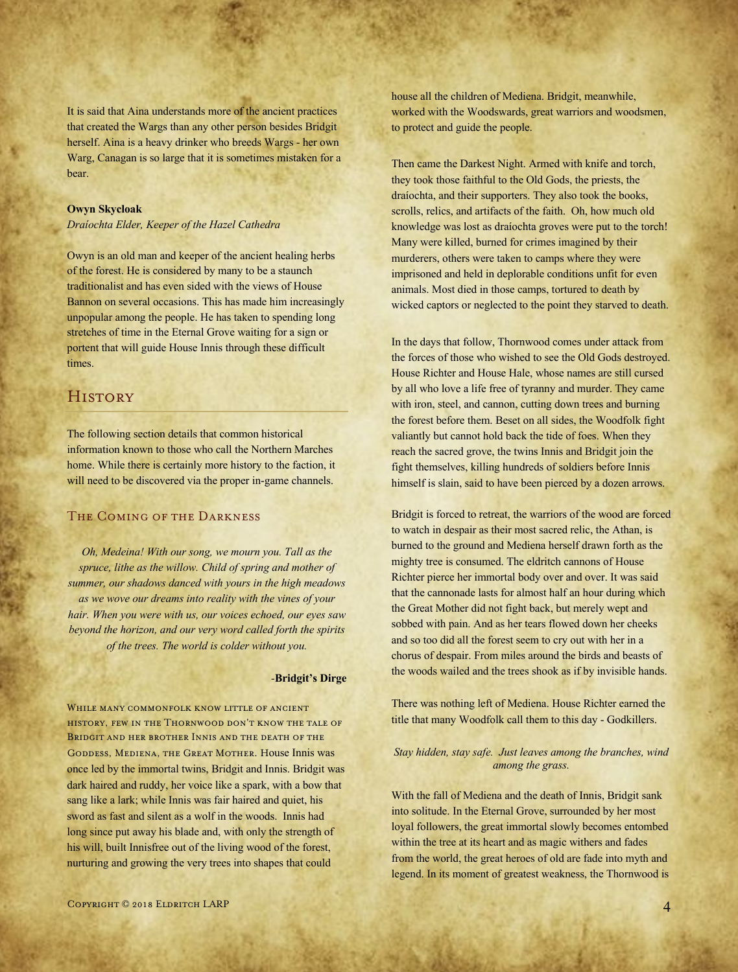It is said that Aina understands more of the ancient practices that created the Wargs than any other person besides Bridgit herself. Aina is a heavy drinker who breeds Wargs - her own Warg, Canagan is so large that it is sometimes mistaken for a bear.

### **Owyn Skycloak**

*Draíochta Elder, Keeper of the Hazel Cathedra*

Owyn is an old man and keeper of the ancient healing herbs of the forest. He is considered by many to be a staunch traditionalist and has even sided with the views of House Bannon on several occasions. This has made him increasingly unpopular among the people. He has taken to spending long stretches of time in the Eternal Grove waiting for a sign or portent that will guide House Innis through these difficult times.

# **HISTORY**

The following section details that common historical information known to those who call the Northern Marches home. While there is certainly more history to the faction, it will need to be discovered via the proper in-game channels.

### The Coming of the Darkness

*Oh, Medeina! With our song, we mourn you. Tall as the spruce, lithe as the willow. Child of spring and mother of summer, our shadows danced with yours in the high meadows as we wove our dreams into reality with the vines of your hair. When you were with us, our voices echoed, our eyes saw beyond the horizon, and our very word called forth the spirits of the trees. The world is colder without you.*

### *-***Bridgit's Dirge**

WHILE MANY COMMONFOLK KNOW LITTLE OF ANCIENT history, few in the Thornwood don't know the tale of BRIDGIT AND HER BROTHER INNIS AND THE DEATH OF THE GODDESS, MEDIENA, THE GREAT MOTHER. House Innis was once led by the immortal twins, Bridgit and Innis. Bridgit was dark haired and ruddy, her voice like a spark, with a bow that sang like a lark; while Innis was fair haired and quiet, his sword as fast and silent as a wolf in the woods. Innis had long since put away his blade and, with only the strength of his will, built Innisfree out of the living wood of the forest, nurturing and growing the very trees into shapes that could

house all the children of Mediena. Bridgit, meanwhile, worked with the Woodswards, great warriors and woodsmen, to protect and guide the people.

Then came the Darkest Night. Armed with knife and torch, they took those faithful to the Old Gods, the priests, the draíochta, and their supporters. They also took the books, scrolls, relics, and artifacts of the faith. Oh, how much old knowledge was lost as draíochta groves were put to the torch! Many were killed, burned for crimes imagined by their murderers, others were taken to camps where they were imprisoned and held in deplorable conditions unfit for even animals. Most died in those camps, tortured to death by wicked captors or neglected to the point they starved to death.

In the days that follow, Thornwood comes under attack from the forces of those who wished to see the Old Gods destroyed. House Richter and House Hale, whose names are still cursed by all who love a life free of tyranny and murder. They came with iron, steel, and cannon, cutting down trees and burning the forest before them. Beset on all sides, the Woodfolk fight valiantly but cannot hold back the tide of foes. When they reach the sacred grove, the twins Innis and Bridgit join the fight themselves, killing hundreds of soldiers before Innis himself is slain, said to have been pierced by a dozen arrows.

Bridgit is forced to retreat, the warriors of the wood are forced to watch in despair as their most sacred relic, the Athan, is burned to the ground and Mediena herself drawn forth as the mighty tree is consumed. The eldritch cannons of House Richter pierce her immortal body over and over. It was said that the cannonade lasts for almost half an hour during which the Great Mother did not fight back, but merely wept and sobbed with pain. And as her tears flowed down her cheeks and so too did all the forest seem to cry out with her in a chorus of despair. From miles around the birds and beasts of the woods wailed and the trees shook as if by invisible hands.

There was nothing left of Mediena. House Richter earned the title that many Woodfolk call them to this day - Godkillers.

### *Stay hidden, stay safe. Just leaves among the branches, wind among the grass.*

With the fall of Mediena and the death of Innis, Bridgit sank into solitude. In the Eternal Grove, surrounded by her most loyal followers, the great immortal slowly becomes entombed within the tree at its heart and as magic withers and fades from the world, the great heroes of old are fade into myth and legend. In its moment of greatest weakness, the Thornwood is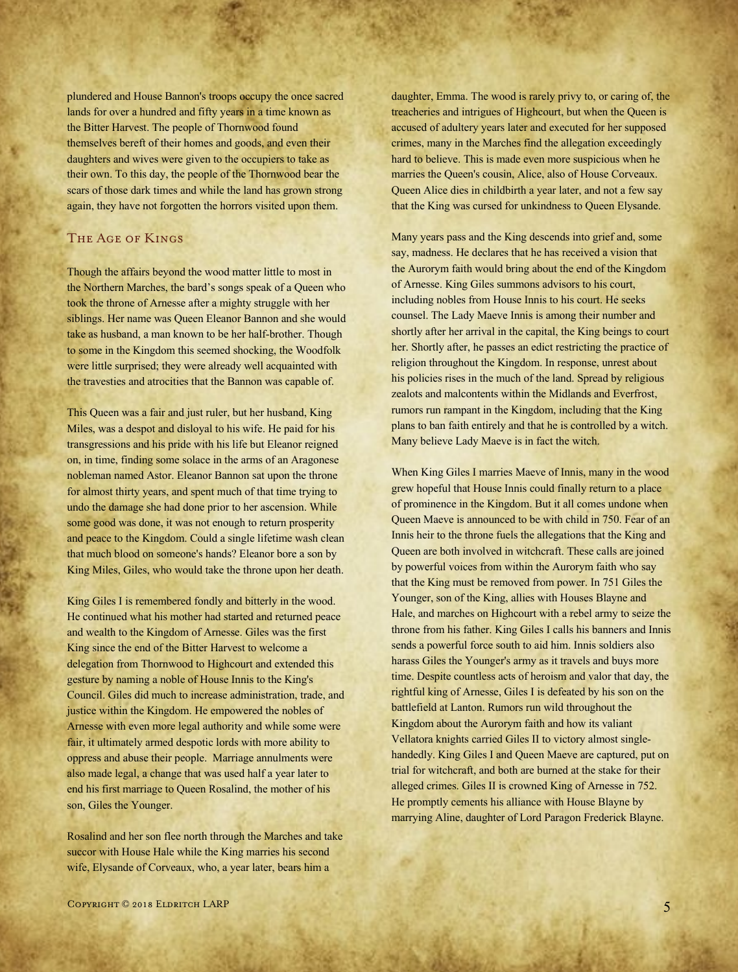plundered and House Bannon's troops occupy the once sacred lands for over a hundred and fifty years in a time known as the Bitter Harvest. The people of Thornwood found themselves bereft of their homes and goods, and even their daughters and wives were given to the occupiers to take as their own. To this day, the people of the Thornwood bear the scars of those dark times and while the land has grown strong again, they have not forgotten the horrors visited upon them.

# The Age of Kings

Though the affairs beyond the wood matter little to most in the Northern Marches, the bard's songs speak of a Queen who took the throne of Arnesse after a mighty struggle with her siblings. Her name was Queen Eleanor Bannon and she would take as husband, a man known to be her half-brother. Though to some in the Kingdom this seemed shocking, the Woodfolk were little surprised; they were already well acquainted with the travesties and atrocities that the Bannon was capable of.

This Queen was a fair and just ruler, but her husband, King Miles, was a despot and disloyal to his wife. He paid for his transgressions and his pride with his life but Eleanor reigned on, in time, finding some solace in the arms of an Aragonese nobleman named Astor. Eleanor Bannon sat upon the throne for almost thirty years, and spent much of that time trying to undo the damage she had done prior to her ascension. While some good was done, it was not enough to return prosperity and peace to the Kingdom. Could a single lifetime wash clean that much blood on someone's hands? Eleanor bore a son by King Miles, Giles, who would take the throne upon her death.

King Giles I is remembered fondly and bitterly in the wood. He continued what his mother had started and returned peace and wealth to the Kingdom of Arnesse. Giles was the first King since the end of the Bitter Harvest to welcome a delegation from Thornwood to Highcourt and extended this gesture by naming a noble of House Innis to the King's Council. Giles did much to increase administration, trade, and justice within the Kingdom. He empowered the nobles of Arnesse with even more legal authority and while some were fair, it ultimately armed despotic lords with more ability to oppress and abuse their people. Marriage annulments were also made legal, a change that was used half a year later to end his first marriage to Queen Rosalind, the mother of his son, Giles the Younger.

Rosalind and her son flee north through the Marches and take succor with House Hale while the King marries his second wife, Elysande of Corveaux, who, a year later, bears him a

daughter, Emma. The wood is rarely privy to, or caring of, the treacheries and intrigues of Highcourt, but when the Queen is accused of adultery years later and executed for her supposed crimes, many in the Marches find the allegation exceedingly hard to believe. This is made even more suspicious when he marries the Queen's cousin, Alice, also of House Corveaux. Queen Alice dies in childbirth a year later, and not a few say that the King was cursed for unkindness to Queen Elysande.

Many years pass and the King descends into grief and, some say, madness. He declares that he has received a vision that the Aurorym faith would bring about the end of the Kingdom of Arnesse. King Giles summons advisors to his court, including nobles from House Innis to his court. He seeks counsel. The Lady Maeve Innis is among their number and shortly after her arrival in the capital, the King beings to court her. Shortly after, he passes an edict restricting the practice of religion throughout the Kingdom. In response, unrest about his policies rises in the much of the land. Spread by religious zealots and malcontents within the Midlands and Everfrost, rumors run rampant in the Kingdom, including that the King plans to ban faith entirely and that he is controlled by a witch. Many believe Lady Maeve is in fact the witch.

When King Giles I marries Maeve of Innis, many in the wood grew hopeful that House Innis could finally return to a place of prominence in the Kingdom. But it all comes undone when Queen Maeve is announced to be with child in 750. Fear of an Innis heir to the throne fuels the allegations that the King and Queen are both involved in witchcraft. These calls are joined by powerful voices from within the Aurorym faith who say that the King must be removed from power. In 751 Giles the Younger, son of the King, allies with Houses Blayne and Hale, and marches on Highcourt with a rebel army to seize the throne from his father. King Giles I calls his banners and Innis sends a powerful force south to aid him. Innis soldiers also harass Giles the Younger's army as it travels and buys more time. Despite countless acts of heroism and valor that day, the rightful king of Arnesse, Giles I is defeated by his son on the battlefield at Lanton. Rumors run wild throughout the Kingdom about the Aurorym faith and how its valiant Vellatora knights carried Giles II to victory almost singlehandedly. King Giles I and Queen Maeve are captured, put on trial for witchcraft, and both are burned at the stake for their alleged crimes. Giles II is crowned King of Arnesse in 752. He promptly cements his alliance with House Blayne by marrying Aline, daughter of Lord Paragon Frederick Blayne.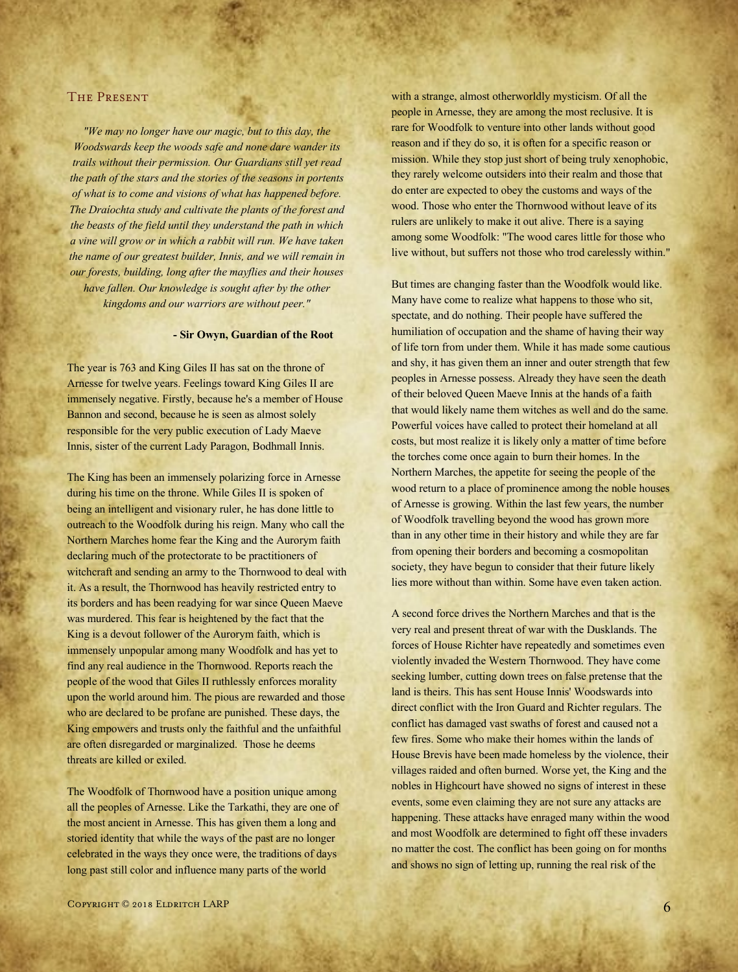### The Present

*"We may no longer have our magic, but to this day, the Woodswards keep the woods safe and none dare wander its trails without their permission. Our Guardians still yet read the path of the stars and the stories of the seasons in portents of what is to come and visions of what has happened before. The Draíochta study and cultivate the plants of the forest and the beasts of the field until they understand the path in which a vine will grow or in which a rabbit will run. We have taken the name of our greatest builder, Innis, and we will remain in our forests, building, long after the mayflies and their houses have fallen. Our knowledge is sought after by the other kingdoms and our warriors are without peer."*

### **- Sir Owyn, Guardian of the Root**

The year is 763 and King Giles II has sat on the throne of Arnesse for twelve years. Feelings toward King Giles II are immensely negative. Firstly, because he's a member of House Bannon and second, because he is seen as almost solely responsible for the very public execution of Lady Maeve Innis, sister of the current Lady Paragon, Bodhmall Innis.

The King has been an immensely polarizing force in Arnesse during his time on the throne. While Giles II is spoken of being an intelligent and visionary ruler, he has done little to outreach to the Woodfolk during his reign. Many who call the Northern Marches home fear the King and the Aurorym faith declaring much of the protectorate to be practitioners of witchcraft and sending an army to the Thornwood to deal with it. As a result, the Thornwood has heavily restricted entry to its borders and has been readying for war since Queen Maeve was murdered. This fear is heightened by the fact that the King is a devout follower of the Aurorym faith, which is immensely unpopular among many Woodfolk and has yet to find any real audience in the Thornwood. Reports reach the people of the wood that Giles II ruthlessly enforces morality upon the world around him. The pious are rewarded and those who are declared to be profane are punished. These days, the King empowers and trusts only the faithful and the unfaithful are often disregarded or marginalized. Those he deems threats are killed or exiled.

The Woodfolk of Thornwood have a position unique among all the peoples of Arnesse. Like the Tarkathi, they are one of the most ancient in Arnesse. This has given them a long and storied identity that while the ways of the past are no longer celebrated in the ways they once were, the traditions of days long past still color and influence many parts of the world

with a strange, almost otherworldly mysticism. Of all the people in Arnesse, they are among the most reclusive. It is rare for Woodfolk to venture into other lands without good reason and if they do so, it is often for a specific reason or mission. While they stop just short of being truly xenophobic, they rarely welcome outsiders into their realm and those that do enter are expected to obey the customs and ways of the wood. Those who enter the Thornwood without leave of its rulers are unlikely to make it out alive. There is a saying among some Woodfolk: "The wood cares little for those who live without, but suffers not those who trod carelessly within."

But times are changing faster than the Woodfolk would like. Many have come to realize what happens to those who sit, spectate, and do nothing. Their people have suffered the humiliation of occupation and the shame of having their way of life torn from under them. While it has made some cautious and shy, it has given them an inner and outer strength that few peoples in Arnesse possess. Already they have seen the death of their beloved Queen Maeve Innis at the hands of a faith that would likely name them witches as well and do the same. Powerful voices have called to protect their homeland at all costs, but most realize it is likely only a matter of time before the torches come once again to burn their homes. In the Northern Marches, the appetite for seeing the people of the wood return to a place of prominence among the noble houses of Arnesse is growing. Within the last few years, the number of Woodfolk travelling beyond the wood has grown more than in any other time in their history and while they are far from opening their borders and becoming a cosmopolitan society, they have begun to consider that their future likely lies more without than within. Some have even taken action.

A second force drives the Northern Marches and that is the very real and present threat of war with the Dusklands. The forces of House Richter have repeatedly and sometimes even violently invaded the Western Thornwood. They have come seeking lumber, cutting down trees on false pretense that the land is theirs. This has sent House Innis' Woodswards into direct conflict with the Iron Guard and Richter regulars. The conflict has damaged vast swaths of forest and caused not a few fires. Some who make their homes within the lands of House Brevis have been made homeless by the violence, their villages raided and often burned. Worse yet, the King and the nobles in Highcourt have showed no signs of interest in these events, some even claiming they are not sure any attacks are happening. These attacks have enraged many within the wood and most Woodfolk are determined to fight off these invaders no matter the cost. The conflict has been going on for months and shows no sign of letting up, running the real risk of the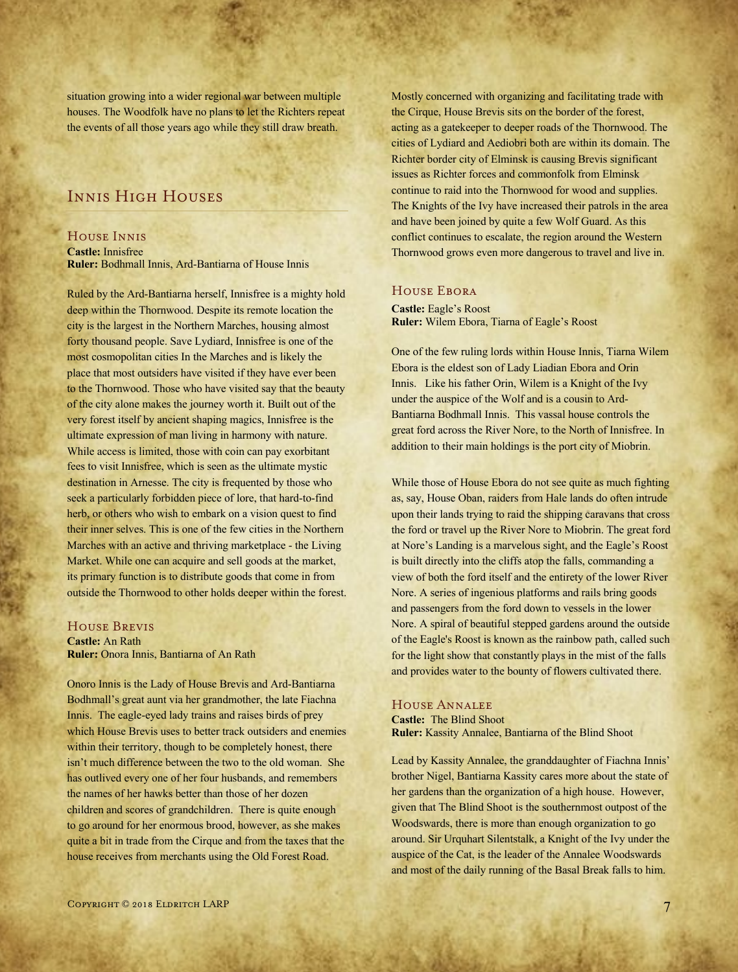situation growing into a wider regional war between multiple houses. The Woodfolk have no plans to let the Richters repeat the events of all those years ago while they still draw breath.

# Innis High Houses

### House Innis

**Castle:** Innisfree **Ruler:** Bodhmall Innis, Ard-Bantiarna of House Innis

Ruled by the Ard-Bantiarna herself, Innisfree is a mighty hold deep within the Thornwood. Despite its remote location the city is the largest in the Northern Marches, housing almost forty thousand people. Save Lydiard, Innisfree is one of the most cosmopolitan cities In the Marches and is likely the place that most outsiders have visited if they have ever been to the Thornwood. Those who have visited say that the beauty of the city alone makes the journey worth it. Built out of the very forest itself by ancient shaping magics, Innisfree is the ultimate expression of man living in harmony with nature. While access is limited, those with coin can pay exorbitant fees to visit Innisfree, which is seen as the ultimate mystic destination in Arnesse. The city is frequented by those who seek a particularly forbidden piece of lore, that hard-to-find herb, or others who wish to embark on a vision quest to find their inner selves. This is one of the few cities in the Northern Marches with an active and thriving marketplace - the Living Market. While one can acquire and sell goods at the market, its primary function is to distribute goods that come in from outside the Thornwood to other holds deeper within the forest.

### House Brevis

**Castle:** An Rath **Ruler:** Onora Innis, Bantiarna of An Rath

Onoro Innis is the Lady of House Brevis and Ard-Bantiarna Bodhmall's great aunt via her grandmother, the late Fiachna Innis. The eagle-eyed lady trains and raises birds of prey which House Brevis uses to better track outsiders and enemies within their territory, though to be completely honest, there isn't much difference between the two to the old woman. She has outlived every one of her four husbands, and remembers the names of her hawks better than those of her dozen children and scores of grandchildren. There is quite enough to go around for her enormous brood, however, as she makes quite a bit in trade from the Cirque and from the taxes that the house receives from merchants using the Old Forest Road.

Mostly concerned with organizing and facilitating trade with the Cirque, House Brevis sits on the border of the forest, acting as a gatekeeper to deeper roads of the Thornwood. The cities of Lydiard and Aediobri both are within its domain. The Richter border city of Elminsk is causing Brevis significant issues as Richter forces and commonfolk from Elminsk continue to raid into the Thornwood for wood and supplies. The Knights of the Ivy have increased their patrols in the area and have been joined by quite a few Wolf Guard. As this conflict continues to escalate, the region around the Western Thornwood grows even more dangerous to travel and live in.

# House Ebora

**Castle:** Eagle's Roost **Ruler:** Wilem Ebora, Tiarna of Eagle's Roost

One of the few ruling lords within House Innis, Tiarna Wilem Ebora is the eldest son of Lady Liadian Ebora and Orin Innis. Like his father Orin, Wilem is a Knight of the Ivy under the auspice of the Wolf and is a cousin to Ard-Bantiarna Bodhmall Innis. This vassal house controls the great ford across the River Nore, to the North of Innisfree. In addition to their main holdings is the port city of Miobrin.

While those of House Ebora do not see quite as much fighting as, say, House Oban, raiders from Hale lands do often intrude upon their lands trying to raid the shipping caravans that cross the ford or travel up the River Nore to Miobrin. The great ford at Nore's Landing is a marvelous sight, and the Eagle's Roost is built directly into the cliffs atop the falls, commanding a view of both the ford itself and the entirety of the lower River Nore. A series of ingenious platforms and rails bring goods and passengers from the ford down to vessels in the lower Nore. A spiral of beautiful stepped gardens around the outside of the Eagle's Roost is known as the rainbow path, called such for the light show that constantly plays in the mist of the falls and provides water to the bounty of flowers cultivated there.

### House Annalee

**Castle:** The Blind Shoot **Ruler:** Kassity Annalee, Bantiarna of the Blind Shoot

Lead by Kassity Annalee, the granddaughter of Fiachna Innis' brother Nigel, Bantiarna Kassity cares more about the state of her gardens than the organization of a high house. However, given that The Blind Shoot is the southernmost outpost of the Woodswards, there is more than enough organization to go around. Sir Urquhart Silentstalk, a Knight of the Ivy under the auspice of the Cat, is the leader of the Annalee Woodswards and most of the daily running of the Basal Break falls to him.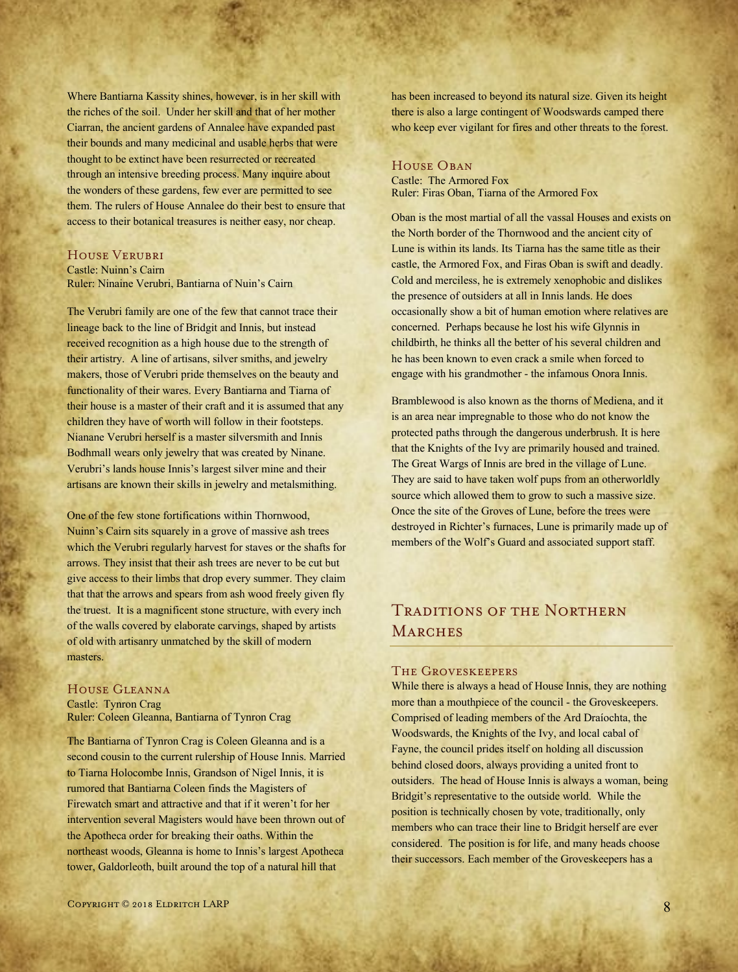Where Bantiarna Kassity shines, however, is in her skill with the riches of the soil. Under her skill and that of her mother Ciarran, the ancient gardens of Annalee have expanded past their bounds and many medicinal and usable herbs that were thought to be extinct have been resurrected or recreated through an intensive breeding process. Many inquire about the wonders of these gardens, few ever are permitted to see them. The rulers of House Annalee do their best to ensure that access to their botanical treasures is neither easy, nor cheap.

### House Verubri

Castle: Nuinn's Cairn Ruler: Ninaine Verubri, Bantiarna of Nuin's Cairn

The Verubri family are one of the few that cannot trace their lineage back to the line of Bridgit and Innis, but instead received recognition as a high house due to the strength of their artistry. A line of artisans, silver smiths, and jewelry makers, those of Verubri pride themselves on the beauty and functionality of their wares. Every Bantiarna and Tiarna of their house is a master of their craft and it is assumed that any children they have of worth will follow in their footsteps. Nianane Verubri herself is a master silversmith and Innis Bodhmall wears only jewelry that was created by Ninane. Verubri's lands house Innis's largest silver mine and their artisans are known their skills in jewelry and metalsmithing.

One of the few stone fortifications within Thornwood, Nuinn's Cairn sits squarely in a grove of massive ash trees which the Verubri regularly harvest for staves or the shafts for arrows. They insist that their ash trees are never to be cut but give access to their limbs that drop every summer. They claim that that the arrows and spears from ash wood freely given fly the truest. It is a magnificent stone structure, with every inch of the walls covered by elaborate carvings, shaped by artists of old with artisanry unmatched by the skill of modern masters.

# House Gleanna

Castle: Tynron Crag Ruler: Coleen Gleanna, Bantiarna of Tynron Crag

The Bantiarna of Tynron Crag is Coleen Gleanna and is a second cousin to the current rulership of House Innis. Married to Tiarna Holocombe Innis, Grandson of Nigel Innis, it is rumored that Bantiarna Coleen finds the Magisters of Firewatch smart and attractive and that if it weren't for her intervention several Magisters would have been thrown out of the Apotheca order for breaking their oaths. Within the northeast woods, Gleanna is home to Innis's largest Apotheca tower, Galdorleoth, built around the top of a natural hill that

has been increased to beyond its natural size. Given its height there is also a large contingent of Woodswards camped there who keep ever vigilant for fires and other threats to the forest.

### HOUSE OBAN

Castle: The Armored Fox Ruler: Firas Oban, Tiarna of the Armored Fox

Oban is the most martial of all the vassal Houses and exists on the North border of the Thornwood and the ancient city of Lune is within its lands. Its Tiarna has the same title as their castle, the Armored Fox, and Firas Oban is swift and deadly. Cold and merciless, he is extremely xenophobic and dislikes the presence of outsiders at all in Innis lands. He does occasionally show a bit of human emotion where relatives are concerned. Perhaps because he lost his wife Glynnis in childbirth, he thinks all the better of his several children and he has been known to even crack a smile when forced to engage with his grandmother - the infamous Onora Innis.

Bramblewood is also known as the thorns of Mediena, and it is an area near impregnable to those who do not know the protected paths through the dangerous underbrush. It is here that the Knights of the Ivy are primarily housed and trained. The Great Wargs of Innis are bred in the village of Lune. They are said to have taken wolf pups from an otherworldly source which allowed them to grow to such a massive size. Once the site of the Groves of Lune, before the trees were destroyed in Richter's furnaces, Lune is primarily made up of members of the Wolf's Guard and associated support staff.

# Traditions of the Northern **MARCHES**

#### The Groveskeepers

While there is always a head of House Innis, they are nothing more than a mouthpiece of the council - the Groveskeepers. Comprised of leading members of the Ard Draíochta, the Woodswards, the Knights of the Ivy, and local cabal of Fayne, the council prides itself on holding all discussion behind closed doors, always providing a united front to outsiders. The head of House Innis is always a woman, being Bridgit's representative to the outside world. While the position is technically chosen by vote, traditionally, only members who can trace their line to Bridgit herself are ever considered. The position is for life, and many heads choose their successors. Each member of the Groveskeepers has a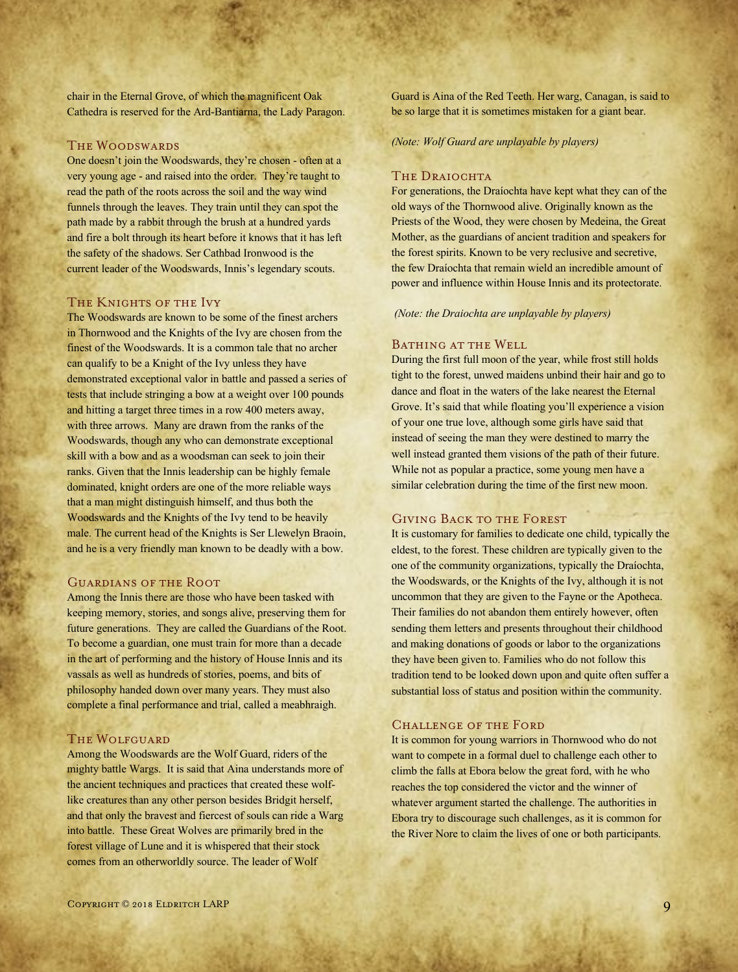chair in the Eternal Grove, of which the magnificent Oak Cathedra is reserved for the Ard-Bantiarna, the Lady Paragon.

### THE WOODSWARDS

One doesn't join the Woodswards, they're chosen - often at a very young age - and raised into the order. They're taught to read the path of the roots across the soil and the way wind funnels through the leaves. They train until they can spot the path made by a rabbit through the brush at a hundred yards and fire a bolt through its heart before it knows that it has left the safety of the shadows. Ser Cathbad Ironwood is the current leader of the Woodswards, Innis's legendary scouts.

### THE KNIGHTS OF THE IVY

The Woodswards are known to be some of the finest archers in Thornwood and the Knights of the Ivy are chosen from the finest of the Woodswards. It is a common tale that no archer can qualify to be a Knight of the Ivy unless they have demonstrated exceptional valor in battle and passed a series of tests that include stringing a bow at a weight over 100 pounds and hitting a target three times in a row 400 meters away, with three arrows. Many are drawn from the ranks of the Woodswards, though any who can demonstrate exceptional skill with a bow and as a woodsman can seek to join their ranks. Given that the Innis leadership can be highly female dominated, knight orders are one of the more reliable ways that a man might distinguish himself, and thus both the Woodswards and the Knights of the Ivy tend to be heavily male. The current head of the Knights is Ser Llewelyn Braoin, and he is a very friendly man known to be deadly with a bow.

### Guardians of the Root

Among the Innis there are those who have been tasked with keeping memory, stories, and songs alive, preserving them for future generations. They are called the Guardians of the Root. To become a guardian, one must train for more than a decade in the art of performing and the history of House Innis and its vassals as well as hundreds of stories, poems, and bits of philosophy handed down over many years. They must also complete a final performance and trial, called a meabhraigh.

### The Wolfguard

Among the Woodswards are the Wolf Guard, riders of the mighty battle Wargs. It is said that Aina understands more of the ancient techniques and practices that created these wolflike creatures than any other person besides Bridgit herself, and that only the bravest and fiercest of souls can ride a Warg into battle. These Great Wolves are primarily bred in the forest village of Lune and it is whispered that their stock comes from an otherworldly source. The leader of Wolf

Guard is Aina of the Red Teeth. Her warg, Canagan, is said to be so large that it is sometimes mistaken for a giant bear.

*(Note: Wolf Guard are unplayable by players)*

### THE DRAIOCHTA

For generations, the Draíochta have kept what they can of the old ways of the Thornwood alive. Originally known as the Priests of the Wood, they were chosen by Medeina, the Great Mother, as the guardians of ancient tradition and speakers for the forest spirits. Known to be very reclusive and secretive, the few Draíochta that remain wield an incredible amount of power and influence within House Innis and its protectorate.

*(Note: the Draiochta are unplayable by players)*

### BATHING AT THE WELL

During the first full moon of the year, while frost still holds tight to the forest, unwed maidens unbind their hair and go to dance and float in the waters of the lake nearest the Eternal Grove. It's said that while floating you'll experience a vision of your one true love, although some girls have said that instead of seeing the man they were destined to marry the well instead granted them visions of the path of their future. While not as popular a practice, some young men have a similar celebration during the time of the first new moon.

# Giving Back to the Forest

It is customary for families to dedicate one child, typically the eldest, to the forest. These children are typically given to the one of the community organizations, typically the Draíochta, the Woodswards, or the Knights of the Ivy, although it is not uncommon that they are given to the Fayne or the Apotheca. Their families do not abandon them entirely however, often sending them letters and presents throughout their childhood and making donations of goods or labor to the organizations they have been given to. Families who do not follow this tradition tend to be looked down upon and quite often suffer a substantial loss of status and position within the community.

### Challenge of the Ford

It is common for young warriors in Thornwood who do not want to compete in a formal duel to challenge each other to climb the falls at Ebora below the great ford, with he who reaches the top considered the victor and the winner of whatever argument started the challenge. The authorities in Ebora try to discourage such challenges, as it is common for the River Nore to claim the lives of one or both participants.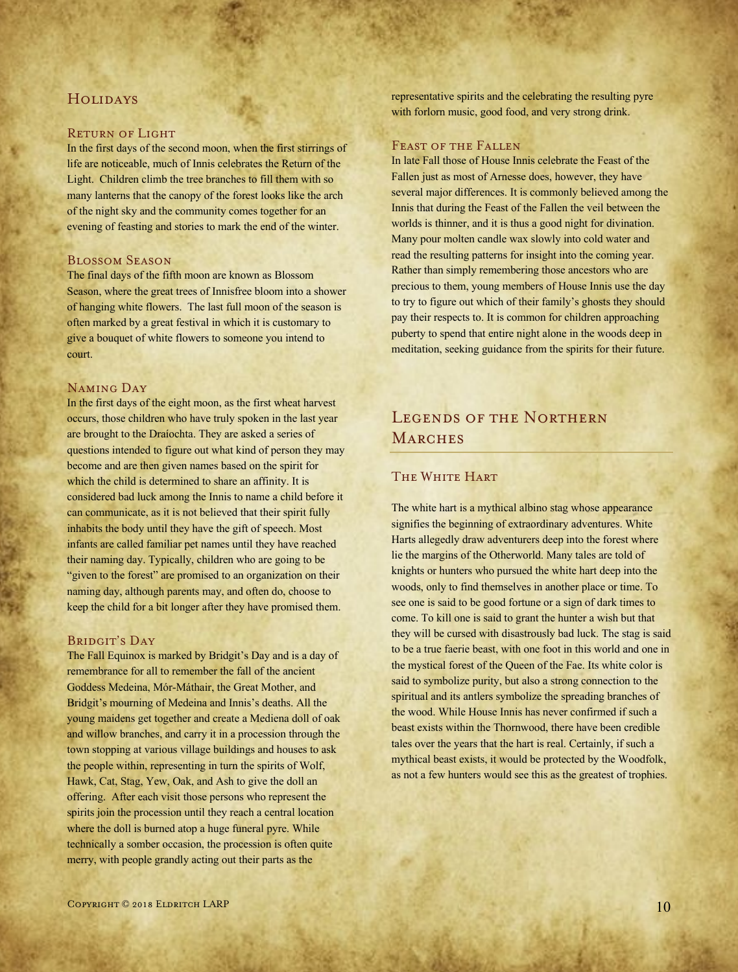# **HOLIDAYS**

### Return of Light

In the first days of the second moon, when the first stirrings of life are noticeable, much of Innis celebrates the Return of the Light. Children climb the tree branches to fill them with so many lanterns that the canopy of the forest looks like the arch of the night sky and the community comes together for an evening of feasting and stories to mark the end of the winter.

### Blossom Season

The final days of the fifth moon are known as Blossom Season, where the great trees of Innisfree bloom into a shower of hanging white flowers. The last full moon of the season is often marked by a great festival in which it is customary to give a bouquet of white flowers to someone you intend to court.

### Naming Day

In the first days of the eight moon, as the first wheat harvest occurs, those children who have truly spoken in the last year are brought to the Draíochta. They are asked a series of questions intended to figure out what kind of person they may become and are then given names based on the spirit for which the child is determined to share an affinity. It is considered bad luck among the Innis to name a child before it can communicate, as it is not believed that their spirit fully inhabits the body until they have the gift of speech. Most infants are called familiar pet names until they have reached their naming day. Typically, children who are going to be "given to the forest" are promised to an organization on their naming day, although parents may, and often do, choose to keep the child for a bit longer after they have promised them.

### BRIDGIT'S DAY

The Fall Equinox is marked by Bridgit's Day and is a day of remembrance for all to remember the fall of the ancient Goddess Medeina, Mór-Máthair, the Great Mother, and Bridgit's mourning of Medeina and Innis's deaths. All the young maidens get together and create a Mediena doll of oak and willow branches, and carry it in a procession through the town stopping at various village buildings and houses to ask the people within, representing in turn the spirits of Wolf, Hawk, Cat, Stag, Yew, Oak, and Ash to give the doll an offering. After each visit those persons who represent the spirits join the procession until they reach a central location where the doll is burned atop a huge funeral pyre. While technically a somber occasion, the procession is often quite merry, with people grandly acting out their parts as the

representative spirits and the celebrating the resulting pyre with forlorn music, good food, and very strong drink.

### FEAST OF THE FALLEN

In late Fall those of House Innis celebrate the Feast of the Fallen just as most of Arnesse does, however, they have several major differences. It is commonly believed among the Innis that during the Feast of the Fallen the veil between the worlds is thinner, and it is thus a good night for divination. Many pour molten candle wax slowly into cold water and read the resulting patterns for insight into the coming year. Rather than simply remembering those ancestors who are precious to them, young members of House Innis use the day to try to figure out which of their family's ghosts they should pay their respects to. It is common for children approaching puberty to spend that entire night alone in the woods deep in meditation, seeking guidance from the spirits for their future.

# LEGENDS OF THE NORTHERN **MARCHES**

## THE WHITE HART

The white hart is a mythical albino stag whose appearance signifies the beginning of extraordinary adventures. White Harts allegedly draw adventurers deep into the forest where lie the margins of the Otherworld. Many tales are told of knights or hunters who pursued the white hart deep into the woods, only to find themselves in another place or time. To see one is said to be good fortune or a sign of dark times to come. To kill one is said to grant the hunter a wish but that they will be cursed with disastrously bad luck. The stag is said to be a true faerie beast, with one foot in this world and one in the mystical forest of the Queen of the Fae. Its white color is said to symbolize purity, but also a strong connection to the spiritual and its antlers symbolize the spreading branches of the wood. While House Innis has never confirmed if such a beast exists within the Thornwood, there have been credible tales over the years that the hart is real. Certainly, if such a mythical beast exists, it would be protected by the Woodfolk, as not a few hunters would see this as the greatest of trophies.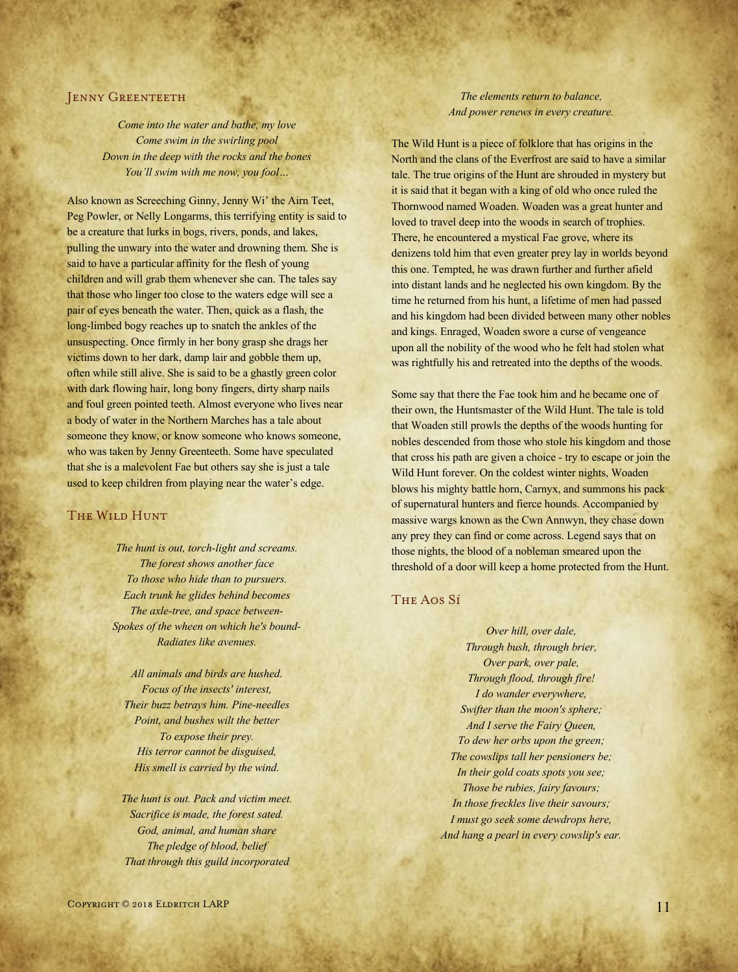### **JENNY GREENTEETH**

*Come into the water and bathe, my love Come swim in the swirling pool Down in the deep with the rocks and the bones You'll swim with me now, you fool…*

Also known as Screeching Ginny, Jenny Wi' the Airn Teet, Peg Powler, or Nelly Longarms, this terrifying entity is said to be a creature that lurks in bogs, rivers, ponds, and lakes, pulling the unwary into the water and drowning them. She is said to have a particular affinity for the flesh of young children and will grab them whenever she can. The tales say that those who linger too close to the waters edge will see a pair of eyes beneath the water. Then, quick as a flash, the long-limbed bogy reaches up to snatch the ankles of the unsuspecting. Once firmly in her bony grasp she drags her victims down to her dark, damp lair and gobble them up, often while still alive. She is said to be a ghastly green color with dark flowing hair, long bony fingers, dirty sharp nails and foul green pointed teeth. Almost everyone who lives near a body of water in the Northern Marches has a tale about someone they know, or know someone who knows someone, who was taken by Jenny Greenteeth. Some have speculated that she is a malevolent Fae but others say she is just a tale used to keep children from playing near the water's edge.

### The Wild Hunt

*The hunt is out, torch-light and screams. The forest shows another face To those who hide than to pursuers. Each trunk he glides behind becomes The axle-tree, and space between-Spokes of the wheen on which he's bound-Radiates like avenues.*

*All animals and birds are hushed. Focus of the insects' interest, Their buzz betrays him. Pine-needles Point, and bushes wilt the better To expose their prey. His terror cannot be disguised, His smell is carried by the wind.*

*The hunt is out. Pack and victim meet. Sacrifice is made, the forest sated. God, animal, and human share The pledge of blood, belief That through this guild incorporated*

### *The elements return to balance, And power renews in every creature.*

The Wild Hunt is a piece of folklore that has origins in the North and the clans of the Everfrost are said to have a similar tale. The true origins of the Hunt are shrouded in mystery but it is said that it began with a king of old who once ruled the Thornwood named Woaden. Woaden was a great hunter and loved to travel deep into the woods in search of trophies. There, he encountered a mystical Fae grove, where its denizens told him that even greater prey lay in worlds beyond this one. Tempted, he was drawn further and further afield into distant lands and he neglected his own kingdom. By the time he returned from his hunt, a lifetime of men had passed and his kingdom had been divided between many other nobles and kings. Enraged, Woaden swore a curse of vengeance upon all the nobility of the wood who he felt had stolen what was rightfully his and retreated into the depths of the woods.

Some say that there the Fae took him and he became one of their own, the Huntsmaster of the Wild Hunt. The tale is told that Woaden still prowls the depths of the woods hunting for nobles descended from those who stole his kingdom and those that cross his path are given a choice - try to escape or join the Wild Hunt forever. On the coldest winter nights, Woaden blows his mighty battle horn, Carnyx, and summons his pack of supernatural hunters and fierce hounds. Accompanied by massive wargs known as the Cwn Annwyn, they chase down any prey they can find or come across. Legend says that on those nights, the blood of a nobleman smeared upon the threshold of a door will keep a home protected from the Hunt.

# The Aos Sí

*Over hill, over dale, Through bush, through brier, Over park, over pale, Through flood, through fire! I do wander everywhere, Swifter than the moon's sphere; And I serve the Fairy Queen, To dew her orbs upon the green; The cowslips tall her pensioners be; In their gold coats spots you see; Those be rubies, fairy favours; In those freckles live their savours; I must go seek some dewdrops here, And hang a pearl in every cowslip's ear.*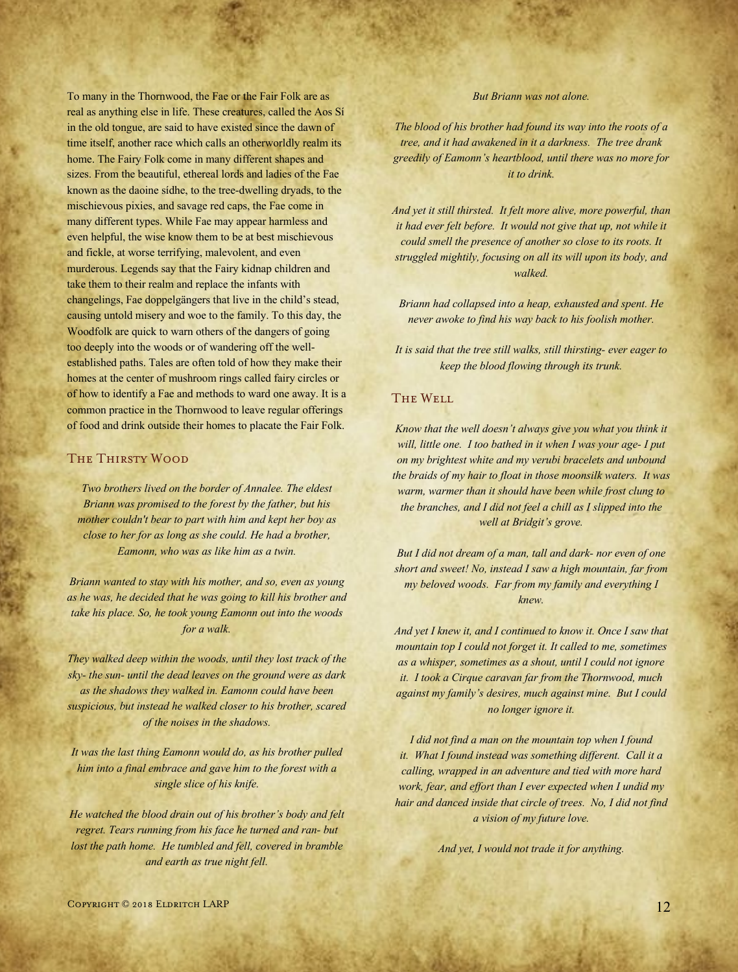To many in the Thornwood, the Fae or the Fair Folk are as real as anything else in life. These creatures, called the Aos Sí in the old tongue, are said to have existed since the dawn of time itself, another race which calls an otherworldly realm its home. The Fairy Folk come in many different shapes and sizes. From the beautiful, ethereal lords and ladies of the Fae known as the daoine sídhe, to the tree-dwelling dryads, to the mischievous pixies, and savage red caps, the Fae come in many different types. While Fae may appear harmless and even helpful, the wise know them to be at best mischievous and fickle, at worse terrifying, malevolent, and even murderous. Legends say that the Fairy kidnap children and take them to their realm and replace the infants with changelings, Fae doppelgängers that live in the child's stead, causing untold misery and woe to the family. To this day, the Woodfolk are quick to warn others of the dangers of going too deeply into the woods or of wandering off the wellestablished paths. Tales are often told of how they make their homes at the center of mushroom rings called fairy circles or of how to identify a Fae and methods to ward one away. It is a common practice in the Thornwood to leave regular offerings of food and drink outside their homes to placate the Fair Folk.

# The Thirsty Wood

*Two brothers lived on the border of Annalee. The eldest Briann was promised to the forest by the father, but his mother couldn't bear to part with him and kept her boy as close to her for as long as she could. He had a brother, Eamonn, who was as like him as a twin.*

*Briann wanted to stay with his mother, and so, even as young as he was, he decided that he was going to kill his brother and take his place. So, he took young Eamonn out into the woods for a walk.*

*They walked deep within the woods, until they lost track of the sky- the sun- until the dead leaves on the ground were as dark as the shadows they walked in. Eamonn could have been suspicious, but instead he walked closer to his brother, scared of the noises in the shadows.*

*It was the last thing Eamonn would do, as his brother pulled him into a final embrace and gave him to the forest with a single slice of his knife.*

*He watched the blood drain out of his brother's body and felt regret. Tears running from his face he turned and ran- but lost the path home. He tumbled and fell, covered in bramble and earth as true night fell.*

### *But Briann was not alone.*

*The blood of his brother had found its way into the roots of a tree, and it had awakened in it a darkness. The tree drank greedily of Eamonn's heartblood, until there was no more for it to drink.*

*And yet it still thirsted. It felt more alive, more powerful, than it had ever felt before. It would not give that up, not while it could smell the presence of another so close to its roots. It struggled mightily, focusing on all its will upon its body, and walked.*

*Briann had collapsed into a heap, exhausted and spent. He never awoke to find his way back to his foolish mother.*

*It is said that the tree still walks, still thirsting- ever eager to keep the blood flowing through its trunk.*

# The Well

*Know that the well doesn't always give you what you think it will, little one. I too bathed in it when I was your age- I put on my brightest white and my verubi bracelets and unbound the braids of my hair to float in those moonsilk waters. It was warm, warmer than it should have been while frost clung to the branches, and I did not feel a chill as I slipped into the well at Bridgit's grove.*

*But I did not dream of a man, tall and dark- nor even of one short and sweet! No, instead I saw a high mountain, far from my beloved woods. Far from my family and everything I knew.*

*And yet I knew it, and I continued to know it. Once I saw that mountain top I could not forget it. It called to me, sometimes as a whisper, sometimes as a shout, until I could not ignore it. I took a Cirque caravan far from the Thornwood, much against my family's desires, much against mine. But I could no longer ignore it.*

*I did not find a man on the mountain top when I found it. What I found instead was something different. Call it a calling, wrapped in an adventure and tied with more hard work, fear, and effort than I ever expected when I undid my hair and danced inside that circle of trees. No, I did not find a vision of my future love.*

*And yet, I would not trade it for anything.*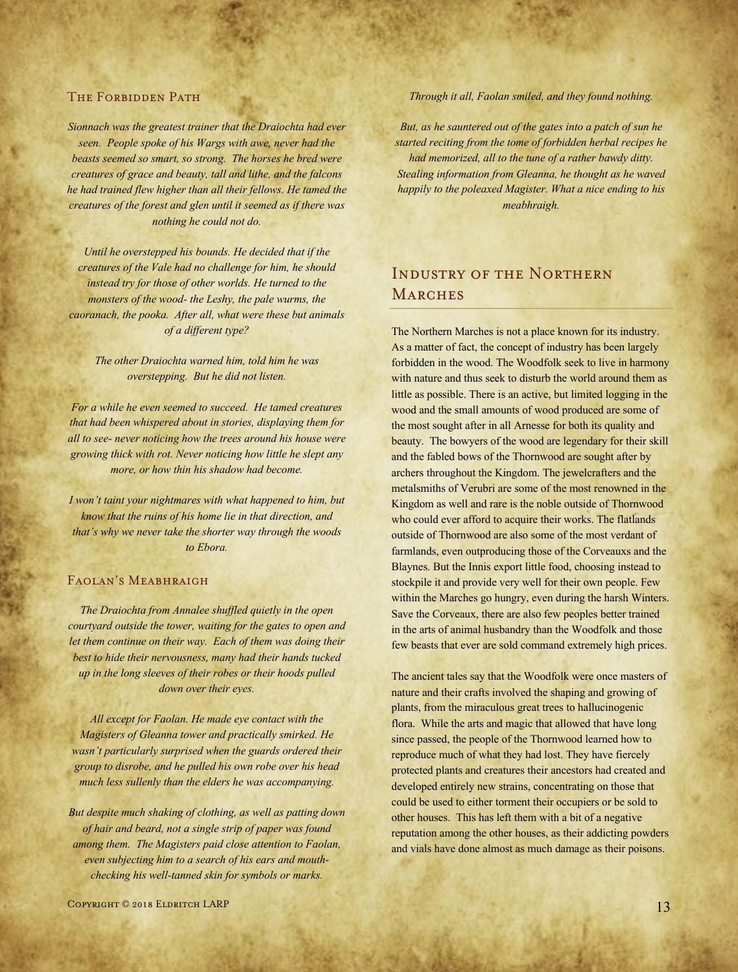### THE FORBIDDEN PATH

*Sionnach was the greatest trainer that the Draiochta had ever seen. People spoke of his Wargs with awe, never had the beasts seemed so smart, so strong. The horses he bred were creatures of grace and beauty, tall and lithe, and the falcons he had trained flew higher than all their fellows. He tamed the creatures of the forest and glen until it seemed as if there was nothing he could not do.*

*Until he overstepped his bounds. He decided that if the creatures of the Vale had no challenge for him, he should instead try for those of other worlds. He turned to the monsters of the wood- the Leshy, the pale wurms, the caoranach, the pooka. After all, what were these but animals of a different type?*

*The other Draiochta warned him, told him he was overstepping. But he did not listen.*

*For a while he even seemed to succeed. He tamed creatures that had been whispered about in stories, displaying them for all to see- never noticing how the trees around his house were growing thick with rot. Never noticing how little he slept any more, or how thin his shadow had become.*

*I won't taint your nightmares with what happened to him, but know that the ruins of his home lie in that direction, and that's why we never take the shorter way through the woods to Ebora.*

# FAOLAN'S MEABHRAIGH

*The Draiochta from Annalee shuffled quietly in the open courtyard outside the tower, waiting for the gates to open and let them continue on their way. Each of them was doing their best to hide their nervousness, many had their hands tucked up in the long sleeves of their robes or their hoods pulled down over their eyes.*

*All except for Faolan. He made eye contact with the Magisters of Gleanna tower and practically smirked. He wasn't particularly surprised when the guards ordered their group to disrobe, and he pulled his own robe over his head much less sullenly than the elders he was accompanying.*

*But despite much shaking of clothing, as well as patting down of hair and beard, not a single strip of paper was found among them. The Magisters paid close attention to Faolan, even subjecting him to a search of his ears and mouthchecking his well-tanned skin for symbols or marks.*

*Through it all, Faolan smiled, and they found nothing.*

*But, as he sauntered out of the gates into a patch of sun he started reciting from the tome of forbidden herbal recipes he had memorized, all to the tune of a rather bawdy ditty. Stealing information from Gleanna, he thought as he waved happily to the poleaxed Magister. What a nice ending to his meabhraigh.*

# Industry of the Northern **MARCHES**

The Northern Marches is not a place known for its industry. As a matter of fact, the concept of industry has been largely forbidden in the wood. The Woodfolk seek to live in harmony with nature and thus seek to disturb the world around them as little as possible. There is an active, but limited logging in the wood and the small amounts of wood produced are some of the most sought after in all Arnesse for both its quality and beauty. The bowyers of the wood are legendary for their skill and the fabled bows of the Thornwood are sought after by archers throughout the Kingdom. The jewelcrafters and the metalsmiths of Verubri are some of the most renowned in the Kingdom as well and rare is the noble outside of Thornwood who could ever afford to acquire their works. The flatlands outside of Thornwood are also some of the most verdant of farmlands, even outproducing those of the Corveauxs and the Blaynes. But the Innis export little food, choosing instead to stockpile it and provide very well for their own people. Few within the Marches go hungry, even during the harsh Winters. Save the Corveaux, there are also few peoples better trained in the arts of animal husbandry than the Woodfolk and those few beasts that ever are sold command extremely high prices.

The ancient tales say that the Woodfolk were once masters of nature and their crafts involved the shaping and growing of plants, from the miraculous great trees to hallucinogenic flora. While the arts and magic that allowed that have long since passed, the people of the Thornwood learned how to reproduce much of what they had lost. They have fiercely protected plants and creatures their ancestors had created and developed entirely new strains, concentrating on those that could be used to either torment their occupiers or be sold to other houses. This has left them with a bit of a negative reputation among the other houses, as their addicting powders and vials have done almost as much damage as their poisons.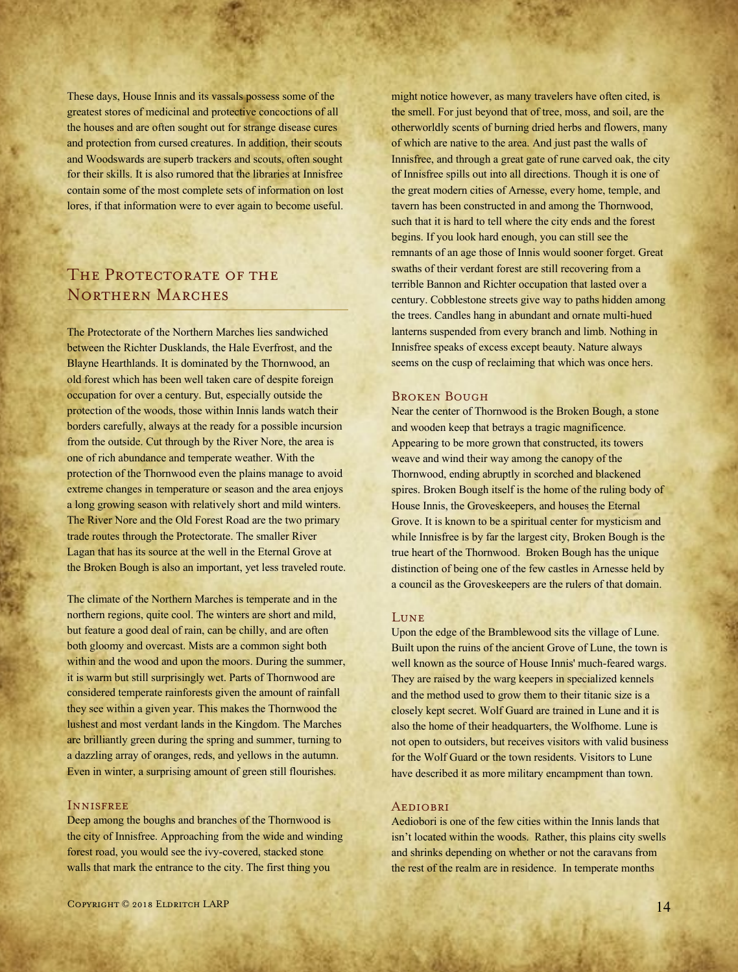These days, House Innis and its vassals possess some of the greatest stores of medicinal and protective concoctions of all the houses and are often sought out for strange disease cures and protection from cursed creatures. In addition, their scouts and Woodswards are superb trackers and scouts, often sought for their skills. It is also rumored that the libraries at Innisfree contain some of the most complete sets of information on lost lores, if that information were to ever again to become useful.

# THE PROTECTORATE OF THE Northern Marches

The Protectorate of the Northern Marches lies sandwiched between the Richter Dusklands, the Hale Everfrost, and the Blayne Hearthlands. It is dominated by the Thornwood, an old forest which has been well taken care of despite foreign occupation for over a century. But, especially outside the protection of the woods, those within Innis lands watch their borders carefully, always at the ready for a possible incursion from the outside. Cut through by the River Nore, the area is one of rich abundance and temperate weather. With the protection of the Thornwood even the plains manage to avoid extreme changes in temperature or season and the area enjoys a long growing season with relatively short and mild winters. The River Nore and the Old Forest Road are the two primary trade routes through the Protectorate. The smaller River Lagan that has its source at the well in the Eternal Grove at the Broken Bough is also an important, yet less traveled route.

The climate of the Northern Marches is temperate and in the northern regions, quite cool. The winters are short and mild, but feature a good deal of rain, can be chilly, and are often both gloomy and overcast. Mists are a common sight both within and the wood and upon the moors. During the summer, it is warm but still surprisingly wet. Parts of Thornwood are considered temperate rainforests given the amount of rainfall they see within a given year. This makes the Thornwood the lushest and most verdant lands in the Kingdom. The Marches are brilliantly green during the spring and summer, turning to a dazzling array of oranges, reds, and yellows in the autumn. Even in winter, a surprising amount of green still flourishes.

### Innisfree

Deep among the boughs and branches of the Thornwood is the city of Innisfree. Approaching from the wide and winding forest road, you would see the ivy-covered, stacked stone walls that mark the entrance to the city. The first thing you

might notice however, as many travelers have often cited, is the smell. For just beyond that of tree, moss, and soil, are the otherworldly scents of burning dried herbs and flowers, many of which are native to the area. And just past the walls of Innisfree, and through a great gate of rune carved oak, the city of Innisfree spills out into all directions. Though it is one of the great modern cities of Arnesse, every home, temple, and tavern has been constructed in and among the Thornwood, such that it is hard to tell where the city ends and the forest begins. If you look hard enough, you can still see the remnants of an age those of Innis would sooner forget. Great swaths of their verdant forest are still recovering from a terrible Bannon and Richter occupation that lasted over a century. Cobblestone streets give way to paths hidden among the trees. Candles hang in abundant and ornate multi-hued lanterns suspended from every branch and limb. Nothing in Innisfree speaks of excess except beauty. Nature always seems on the cusp of reclaiming that which was once hers.

### Broken Bough

Near the center of Thornwood is the Broken Bough, a stone and wooden keep that betrays a tragic magnificence. Appearing to be more grown that constructed, its towers weave and wind their way among the canopy of the Thornwood, ending abruptly in scorched and blackened spires. Broken Bough itself is the home of the ruling body of House Innis, the Groveskeepers, and houses the Eternal Grove. It is known to be a spiritual center for mysticism and while Innisfree is by far the largest city, Broken Bough is the true heart of the Thornwood. Broken Bough has the unique distinction of being one of the few castles in Arnesse held by a council as the Groveskeepers are the rulers of that domain.

#### **LUNE**

Upon the edge of the Bramblewood sits the village of Lune. Built upon the ruins of the ancient Grove of Lune, the town is well known as the source of House Innis' much-feared wargs. They are raised by the warg keepers in specialized kennels and the method used to grow them to their titanic size is a closely kept secret. Wolf Guard are trained in Lune and it is also the home of their headquarters, the Wolfhome. Lune is not open to outsiders, but receives visitors with valid business for the Wolf Guard or the town residents. Visitors to Lune have described it as more military encampment than town.

### **AEDIOBRI**

Aediobori is one of the few cities within the Innis lands that isn't located within the woods. Rather, this plains city swells and shrinks depending on whether or not the caravans from the rest of the realm are in residence. In temperate months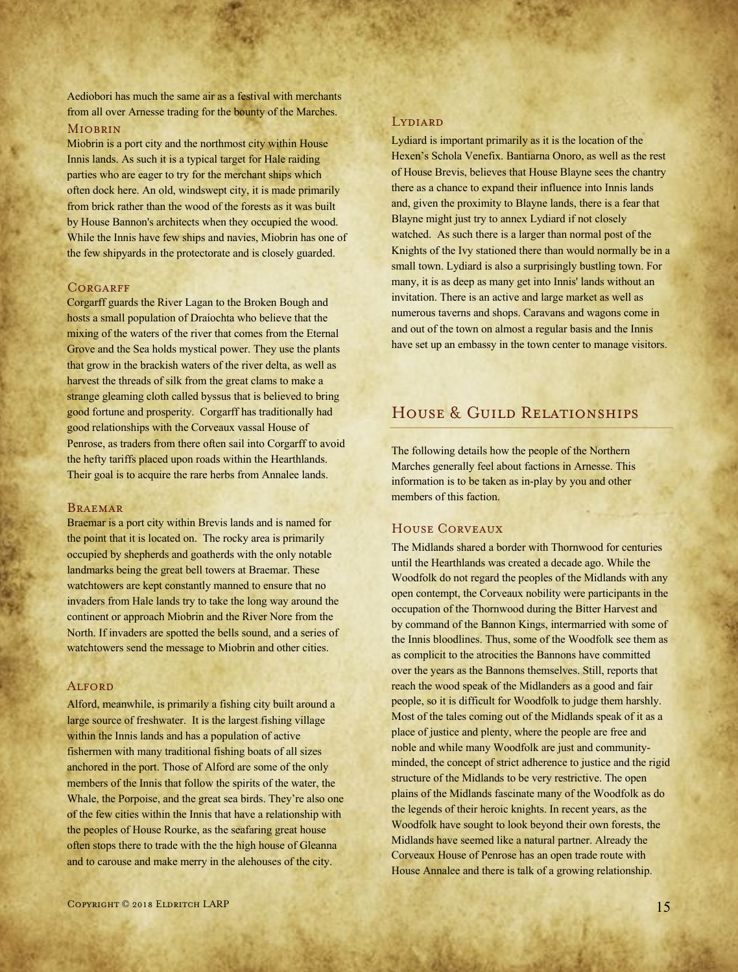Aediobori has much the same air as a festival with merchants from all over Arnesse trading for the bounty of the Marches.

# Miobrin

Miobrin is a port city and the northmost city within House Innis lands. As such it is a typical target for Hale raiding parties who are eager to try for the merchant ships which often dock here. An old, windswept city, it is made primarily from brick rather than the wood of the forests as it was built by House Bannon's architects when they occupied the wood. While the Innis have few ships and navies, Miobrin has one of the few shipyards in the protectorate and is closely guarded.

### **CORGARFF**

Corgarff guards the River Lagan to the Broken Bough and hosts a small population of Draíochta who believe that the mixing of the waters of the river that comes from the Eternal Grove and the Sea holds mystical power. They use the plants that grow in the brackish waters of the river delta, as well as harvest the threads of silk from the great clams to make a strange gleaming cloth called byssus that is believed to bring good fortune and prosperity. Corgarff has traditionally had good relationships with the Corveaux vassal House of Penrose, as traders from there often sail into Corgarff to avoid the hefty tariffs placed upon roads within the Hearthlands. Their goal is to acquire the rare herbs from Annalee lands.

#### Braemar

Braemar is a port city within Brevis lands and is named for the point that it is located on. The rocky area is primarily occupied by shepherds and goatherds with the only notable landmarks being the great bell towers at Braemar. These watchtowers are kept constantly manned to ensure that no invaders from Hale lands try to take the long way around the continent or approach Miobrin and the River Nore from the North. If invaders are spotted the bells sound, and a series of watchtowers send the message to Miobrin and other cities.

### **ALFORD**

Alford, meanwhile, is primarily a fishing city built around a large source of freshwater. It is the largest fishing village within the Innis lands and has a population of active fishermen with many traditional fishing boats of all sizes anchored in the port. Those of Alford are some of the only members of the Innis that follow the spirits of the water, the Whale, the Porpoise, and the great sea birds. They're also one of the few cities within the Innis that have a relationship with the peoples of House Rourke, as the seafaring great house often stops there to trade with the the high house of Gleanna and to carouse and make merry in the alehouses of the city.

#### **LYDIARD**

Lydiard is important primarily as it is the location of the Hexen's Schola Venefix. Bantiarna Onoro, as well as the rest of House Brevis, believes that House Blayne sees the chantry there as a chance to expand their influence into Innis lands and, given the proximity to Blayne lands, there is a fear that Blayne might just try to annex Lydiard if not closely watched. As such there is a larger than normal post of the Knights of the Ivy stationed there than would normally be in a small town. Lydiard is also a surprisingly bustling town. For many, it is as deep as many get into Innis' lands without an invitation. There is an active and large market as well as numerous taverns and shops. Caravans and wagons come in and out of the town on almost a regular basis and the Innis have set up an embassy in the town center to manage visitors.

# HOUSE & GUILD RELATIONSHIPS

The following details how the people of the Northern Marches generally feel about factions in Arnesse. This information is to be taken as in-play by you and other members of this faction.

## House Corveaux

The Midlands shared a border with Thornwood for centuries until the Hearthlands was created a decade ago. While the Woodfolk do not regard the peoples of the Midlands with any open contempt, the Corveaux nobility were participants in the occupation of the Thornwood during the Bitter Harvest and by command of the Bannon Kings, intermarried with some of the Innis bloodlines. Thus, some of the Woodfolk see them as as complicit to the atrocities the Bannons have committed over the years as the Bannons themselves. Still, reports that reach the wood speak of the Midlanders as a good and fair people, so it is difficult for Woodfolk to judge them harshly. Most of the tales coming out of the Midlands speak of it as a place of justice and plenty, where the people are free and noble and while many Woodfolk are just and communityminded, the concept of strict adherence to justice and the rigid structure of the Midlands to be very restrictive. The open plains of the Midlands fascinate many of the Woodfolk as do the legends of their heroic knights. In recent years, as the Woodfolk have sought to look beyond their own forests, the Midlands have seemed like a natural partner. Already the Corveaux House of Penrose has an open trade route with House Annalee and there is talk of a growing relationship.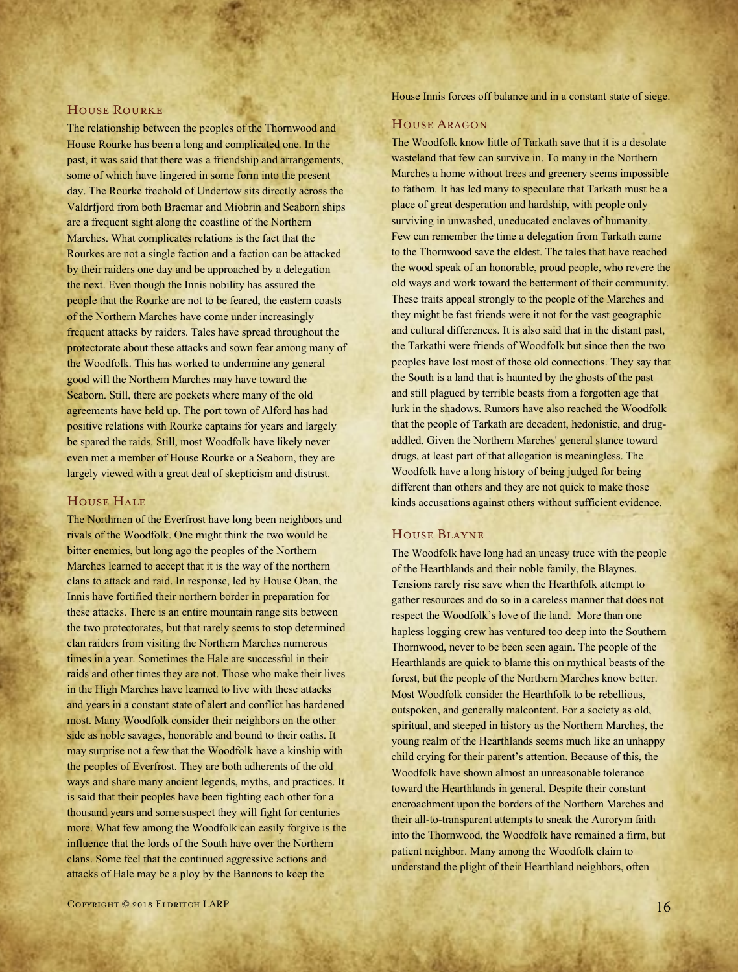### House Rourke

The relationship between the peoples of the Thornwood and House Rourke has been a long and complicated one. In the past, it was said that there was a friendship and arrangements, some of which have lingered in some form into the present day. The Rourke freehold of Undertow sits directly across the Valdrfjord from both Braemar and Miobrin and Seaborn ships are a frequent sight along the coastline of the Northern Marches. What complicates relations is the fact that the Rourkes are not a single faction and a faction can be attacked by their raiders one day and be approached by a delegation the next. Even though the Innis nobility has assured the people that the Rourke are not to be feared, the eastern coasts of the Northern Marches have come under increasingly frequent attacks by raiders. Tales have spread throughout the protectorate about these attacks and sown fear among many of the Woodfolk. This has worked to undermine any general good will the Northern Marches may have toward the Seaborn. Still, there are pockets where many of the old agreements have held up. The port town of Alford has had positive relations with Rourke captains for years and largely be spared the raids. Still, most Woodfolk have likely never even met a member of House Rourke or a Seaborn, they are largely viewed with a great deal of skepticism and distrust.

## House Hale

The Northmen of the Everfrost have long been neighbors and rivals of the Woodfolk. One might think the two would be bitter enemies, but long ago the peoples of the Northern Marches learned to accept that it is the way of the northern clans to attack and raid. In response, led by House Oban, the Innis have fortified their northern border in preparation for these attacks. There is an entire mountain range sits between the two protectorates, but that rarely seems to stop determined clan raiders from visiting the Northern Marches numerous times in a year. Sometimes the Hale are successful in their raids and other times they are not. Those who make their lives in the High Marches have learned to live with these attacks and years in a constant state of alert and conflict has hardened most. Many Woodfolk consider their neighbors on the other side as noble savages, honorable and bound to their oaths. It may surprise not a few that the Woodfolk have a kinship with the peoples of Everfrost. They are both adherents of the old ways and share many ancient legends, myths, and practices. It is said that their peoples have been fighting each other for a thousand years and some suspect they will fight for centuries more. What few among the Woodfolk can easily forgive is the influence that the lords of the South have over the Northern clans. Some feel that the continued aggressive actions and attacks of Hale may be a ploy by the Bannons to keep the

House Innis forces off balance and in a constant state of siege.

# House Aragon

The Woodfolk know little of Tarkath save that it is a desolate wasteland that few can survive in. To many in the Northern Marches a home without trees and greenery seems impossible to fathom. It has led many to speculate that Tarkath must be a place of great desperation and hardship, with people only surviving in unwashed, uneducated enclaves of humanity. Few can remember the time a delegation from Tarkath came to the Thornwood save the eldest. The tales that have reached the wood speak of an honorable, proud people, who revere the old ways and work toward the betterment of their community. These traits appeal strongly to the people of the Marches and they might be fast friends were it not for the vast geographic and cultural differences. It is also said that in the distant past, the Tarkathi were friends of Woodfolk but since then the two peoples have lost most of those old connections. They say that the South is a land that is haunted by the ghosts of the past and still plagued by terrible beasts from a forgotten age that lurk in the shadows. Rumors have also reached the Woodfolk that the people of Tarkath are decadent, hedonistic, and drugaddled. Given the Northern Marches' general stance toward drugs, at least part of that allegation is meaningless. The Woodfolk have a long history of being judged for being different than others and they are not quick to make those kinds accusations against others without sufficient evidence.

### House Blayne

The Woodfolk have long had an uneasy truce with the people of the Hearthlands and their noble family, the Blaynes. Tensions rarely rise save when the Hearthfolk attempt to gather resources and do so in a careless manner that does not respect the Woodfolk's love of the land. More than one hapless logging crew has ventured too deep into the Southern Thornwood, never to be been seen again. The people of the Hearthlands are quick to blame this on mythical beasts of the forest, but the people of the Northern Marches know better. Most Woodfolk consider the Hearthfolk to be rebellious, outspoken, and generally malcontent. For a society as old, spiritual, and steeped in history as the Northern Marches, the young realm of the Hearthlands seems much like an unhappy child crying for their parent's attention. Because of this, the Woodfolk have shown almost an unreasonable tolerance toward the Hearthlands in general. Despite their constant encroachment upon the borders of the Northern Marches and their all-to-transparent attempts to sneak the Aurorym faith into the Thornwood, the Woodfolk have remained a firm, but patient neighbor. Many among the Woodfolk claim to understand the plight of their Hearthland neighbors, often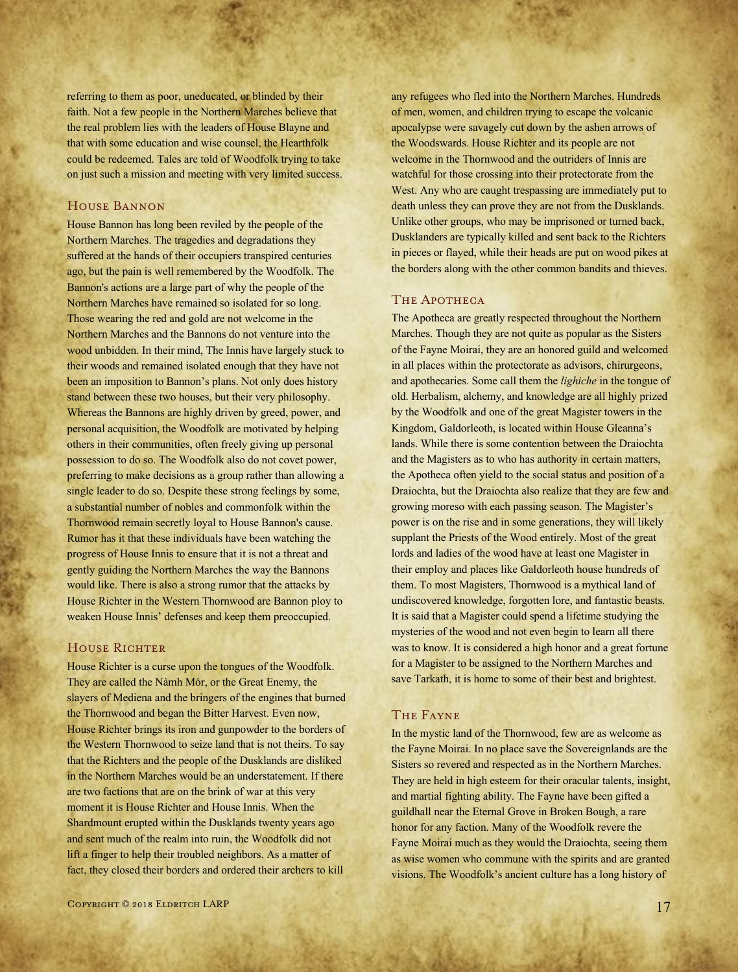referring to them as poor, uneducated, or blinded by their faith. Not a few people in the Northern Marches believe that the real problem lies with the leaders of House Blayne and that with some education and wise counsel, the Hearthfolk could be redeemed. Tales are told of Woodfolk trying to take on just such a mission and meeting with very limited success.

# House Bannon

House Bannon has long been reviled by the people of the Northern Marches. The tragedies and degradations they suffered at the hands of their occupiers transpired centuries ago, but the pain is well remembered by the Woodfolk. The Bannon's actions are a large part of why the people of the Northern Marches have remained so isolated for so long. Those wearing the red and gold are not welcome in the Northern Marches and the Bannons do not venture into the wood unbidden. In their mind, The Innis have largely stuck to their woods and remained isolated enough that they have not been an imposition to Bannon's plans. Not only does history stand between these two houses, but their very philosophy. Whereas the Bannons are highly driven by greed, power, and personal acquisition, the Woodfolk are motivated by helping others in their communities, often freely giving up personal possession to do so. The Woodfolk also do not covet power, preferring to make decisions as a group rather than allowing a single leader to do so. Despite these strong feelings by some, a substantial number of nobles and commonfolk within the Thornwood remain secretly loyal to House Bannon's cause. Rumor has it that these individuals have been watching the progress of House Innis to ensure that it is not a threat and gently guiding the Northern Marches the way the Bannons would like. There is also a strong rumor that the attacks by House Richter in the Western Thornwood are Bannon ploy to weaken House Innis' defenses and keep them preoccupied.

# HOUSE RICHTER

House Richter is a curse upon the tongues of the Woodfolk. They are called the Nàmh Mór, or the Great Enemy, the slayers of Mediena and the bringers of the engines that burned the Thornwood and began the Bitter Harvest. Even now, House Richter brings its iron and gunpowder to the borders of the Western Thornwood to seize land that is not theirs. To say that the Richters and the people of the Dusklands are disliked in the Northern Marches would be an understatement. If there are two factions that are on the brink of war at this very moment it is House Richter and House Innis. When the Shardmount erupted within the Dusklands twenty years ago and sent much of the realm into ruin, the Woodfolk did not lift a finger to help their troubled neighbors. As a matter of fact, they closed their borders and ordered their archers to kill

any refugees who fled into the Northern Marches. Hundreds of men, women, and children trying to escape the volcanic apocalypse were savagely cut down by the ashen arrows of the Woodswards. House Richter and its people are not welcome in the Thornwood and the outriders of Innis are watchful for those crossing into their protectorate from the West. Any who are caught trespassing are immediately put to death unless they can prove they are not from the Dusklands. Unlike other groups, who may be imprisoned or turned back, Dusklanders are typically killed and sent back to the Richters in pieces or flayed, while their heads are put on wood pikes at the borders along with the other common bandits and thieves.

### THE APOTHECA

The Apotheca are greatly respected throughout the Northern Marches. Though they are not quite as popular as the Sisters of the Fayne Moirai, they are an honored guild and welcomed in all places within the protectorate as advisors, chirurgeons, and apothecaries. Some call them the *lighiche* in the tongue of old. Herbalism, alchemy, and knowledge are all highly prized by the Woodfolk and one of the great Magister towers in the Kingdom, Galdorleoth, is located within House Gleanna's lands. While there is some contention between the Draiochta and the Magisters as to who has authority in certain matters, the Apotheca often yield to the social status and position of a Draiochta, but the Draiochta also realize that they are few and growing moreso with each passing season. The Magister's power is on the rise and in some generations, they will likely supplant the Priests of the Wood entirely. Most of the great lords and ladies of the wood have at least one Magister in their employ and places like Galdorleoth house hundreds of them. To most Magisters, Thornwood is a mythical land of undiscovered knowledge, forgotten lore, and fantastic beasts. It is said that a Magister could spend a lifetime studying the mysteries of the wood and not even begin to learn all there was to know. It is considered a high honor and a great fortune for a Magister to be assigned to the Northern Marches and save Tarkath, it is home to some of their best and brightest.

### The Fayne

In the mystic land of the Thornwood, few are as welcome as the Fayne Moirai. In no place save the Sovereignlands are the Sisters so revered and respected as in the Northern Marches. They are held in high esteem for their oracular talents, insight, and martial fighting ability. The Fayne have been gifted a guildhall near the Eternal Grove in Broken Bough, a rare honor for any faction. Many of the Woodfolk revere the Fayne Moirai much as they would the Draiochta, seeing them as wise women who commune with the spirits and are granted visions. The Woodfolk's ancient culture has a long history of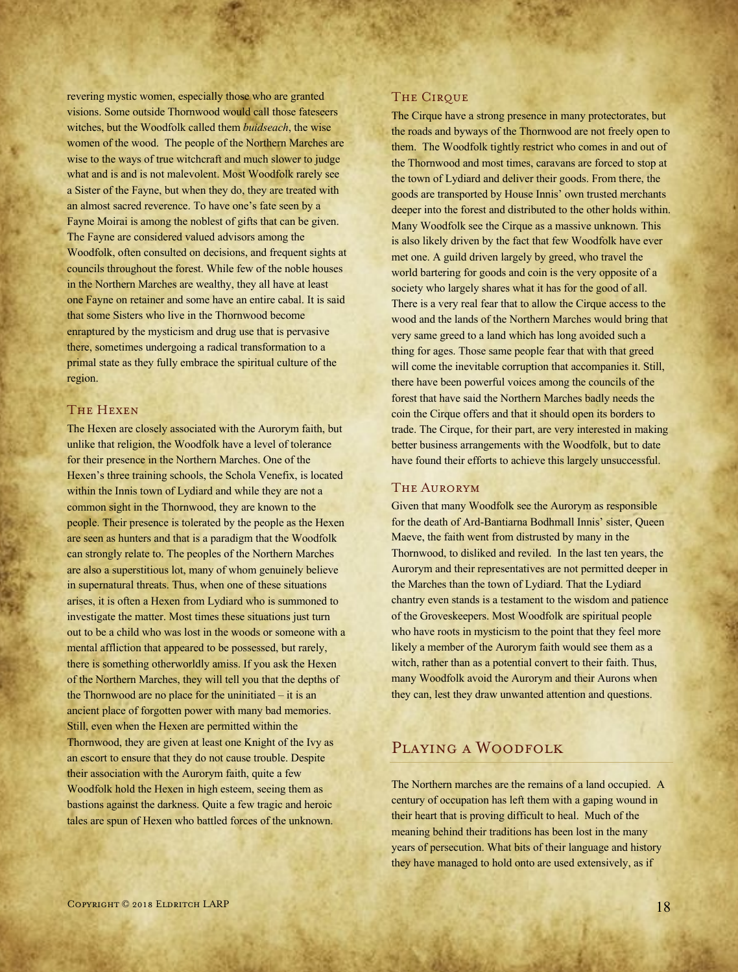revering mystic women, especially those who are granted visions. Some outside Thornwood would call those fateseers witches, but the Woodfolk called them *buidseach*, the wise women of the wood. The people of the Northern Marches are wise to the ways of true witchcraft and much slower to judge what and is and is not malevolent. Most Woodfolk rarely see a Sister of the Fayne, but when they do, they are treated with an almost sacred reverence. To have one's fate seen by a Fayne Moirai is among the noblest of gifts that can be given. The Fayne are considered valued advisors among the Woodfolk, often consulted on decisions, and frequent sights at councils throughout the forest. While few of the noble houses in the Northern Marches are wealthy, they all have at least one Fayne on retainer and some have an entire cabal. It is said that some Sisters who live in the Thornwood become enraptured by the mysticism and drug use that is pervasive there, sometimes undergoing a radical transformation to a primal state as they fully embrace the spiritual culture of the region.

### The Hexen

The Hexen are closely associated with the Aurorym faith, but unlike that religion, the Woodfolk have a level of tolerance for their presence in the Northern Marches. One of the Hexen's three training schools, the Schola Venefix, is located within the Innis town of Lydiard and while they are not a common sight in the Thornwood, they are known to the people. Their presence is tolerated by the people as the Hexen are seen as hunters and that is a paradigm that the Woodfolk can strongly relate to. The peoples of the Northern Marches are also a superstitious lot, many of whom genuinely believe in supernatural threats. Thus, when one of these situations arises, it is often a Hexen from Lydiard who is summoned to investigate the matter. Most times these situations just turn out to be a child who was lost in the woods or someone with a mental affliction that appeared to be possessed, but rarely, there is something otherworldly amiss. If you ask the Hexen of the Northern Marches, they will tell you that the depths of the Thornwood are no place for the uninitiated – it is an ancient place of forgotten power with many bad memories. Still, even when the Hexen are permitted within the Thornwood, they are given at least one Knight of the Ivy as an escort to ensure that they do not cause trouble. Despite their association with the Aurorym faith, quite a few Woodfolk hold the Hexen in high esteem, seeing them as bastions against the darkness. Quite a few tragic and heroic tales are spun of Hexen who battled forces of the unknown.

#### THE CIRQUE

The Cirque have a strong presence in many protectorates, but the roads and byways of the Thornwood are not freely open to them. The Woodfolk tightly restrict who comes in and out of the Thornwood and most times, caravans are forced to stop at the town of Lydiard and deliver their goods. From there, the goods are transported by House Innis' own trusted merchants deeper into the forest and distributed to the other holds within. Many Woodfolk see the Cirque as a massive unknown. This is also likely driven by the fact that few Woodfolk have ever met one. A guild driven largely by greed, who travel the world bartering for goods and coin is the very opposite of a society who largely shares what it has for the good of all. There is a very real fear that to allow the Cirque access to the wood and the lands of the Northern Marches would bring that very same greed to a land which has long avoided such a thing for ages. Those same people fear that with that greed will come the inevitable corruption that accompanies it. Still, there have been powerful voices among the councils of the forest that have said the Northern Marches badly needs the coin the Cirque offers and that it should open its borders to trade. The Cirque, for their part, are very interested in making better business arrangements with the Woodfolk, but to date have found their efforts to achieve this largely unsuccessful.

### The Aurorym

Given that many Woodfolk see the Aurorym as responsible for the death of Ard-Bantiarna Bodhmall Innis' sister, Queen Maeve, the faith went from distrusted by many in the Thornwood, to disliked and reviled. In the last ten years, the Aurorym and their representatives are not permitted deeper in the Marches than the town of Lydiard. That the Lydiard chantry even stands is a testament to the wisdom and patience of the Groveskeepers. Most Woodfolk are spiritual people who have roots in mysticism to the point that they feel more likely a member of the Aurorym faith would see them as a witch, rather than as a potential convert to their faith. Thus, many Woodfolk avoid the Aurorym and their Aurons when they can, lest they draw unwanted attention and questions.

# Playing a Woodfolk

The Northern marches are the remains of a land occupied. A century of occupation has left them with a gaping wound in their heart that is proving difficult to heal. Much of the meaning behind their traditions has been lost in the many years of persecution. What bits of their language and history they have managed to hold onto are used extensively, as if